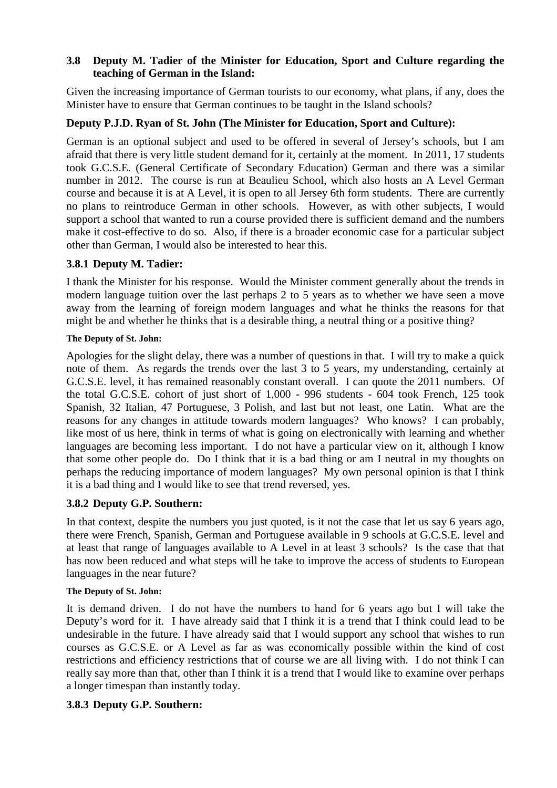## **3.8 Deputy M. Tadier of the Minister for Education, Sport and Culture regarding the teaching of German in the Island:**

Given the increasing importance of German tourists to our economy, what plans, if any, does the Minister have to ensure that German continues to be taught in the Island schools?

# **Deputy P.J.D. Ryan of St. John (The Minister for Education, Sport and Culture):**

German is an optional subject and used to be offered in several of Jersey's schools, but I am afraid that there is very little student demand for it, certainly at the moment. In 2011, 17 students took G.C.S.E. (General Certificate of Secondary Education) German and there was a similar number in 2012. The course is run at Beaulieu School, which also hosts an A Level German course and because it is at A Level, it is open to all Jersey 6th form students. There are currently no plans to reintroduce German in other schools. However, as with other subjects, I would support a school that wanted to run a course provided there is sufficient demand and the numbers make it cost-effective to do so. Also, if there is a broader economic case for a particular subject other than German, I would also be interested to hear this.

# **3.8.1 Deputy M. Tadier:**

I thank the Minister for his response. Would the Minister comment generally about the trends in modern language tuition over the last perhaps 2 to 5 years as to whether we have seen a move away from the learning of foreign modern languages and what he thinks the reasons for that might be and whether he thinks that is a desirable thing, a neutral thing or a positive thing?

## **The Deputy of St. John:**

Apologies for the slight delay, there was a number of questions in that. I will try to make a quick note of them. As regards the trends over the last 3 to 5 years, my understanding, certainly at G.C.S.E. level, it has remained reasonably constant overall. I can quote the 2011 numbers. Of the total G.C.S.E. cohort of just short of 1,000 - 996 students - 604 took French, 125 took Spanish, 32 Italian, 47 Portuguese, 3 Polish, and last but not least, one Latin. What are the reasons for any changes in attitude towards modern languages? Who knows? I can probably, like most of us here, think in terms of what is going on electronically with learning and whether languages are becoming less important. I do not have a particular view on it, although I know that some other people do. Do I think that it is a bad thing or am I neutral in my thoughts on perhaps the reducing importance of modern languages? My own personal opinion is that I think it is a bad thing and I would like to see that trend reversed, yes.

# **3.8.2 Deputy G.P. Southern:**

In that context, despite the numbers you just quoted, is it not the case that let us say 6 years ago, there were French, Spanish, German and Portuguese available in 9 schools at G.C.S.E. level and at least that range of languages available to A Level in at least 3 schools? Is the case that that has now been reduced and what steps will he take to improve the access of students to European languages in the near future?

### **The Deputy of St. John:**

It is demand driven. I do not have the numbers to hand for 6 years ago but I will take the Deputy's word for it. I have already said that I think it is a trend that I think could lead to be undesirable in the future. I have already said that I would support any school that wishes to run courses as G.C.S.E. or A Level as far as was economically possible within the kind of cost restrictions and efficiency restrictions that of course we are all living with. I do not think I can really say more than that, other than I think it is a trend that I would like to examine over perhaps a longer timespan than instantly today.

# **3.8.3 Deputy G.P. Southern:**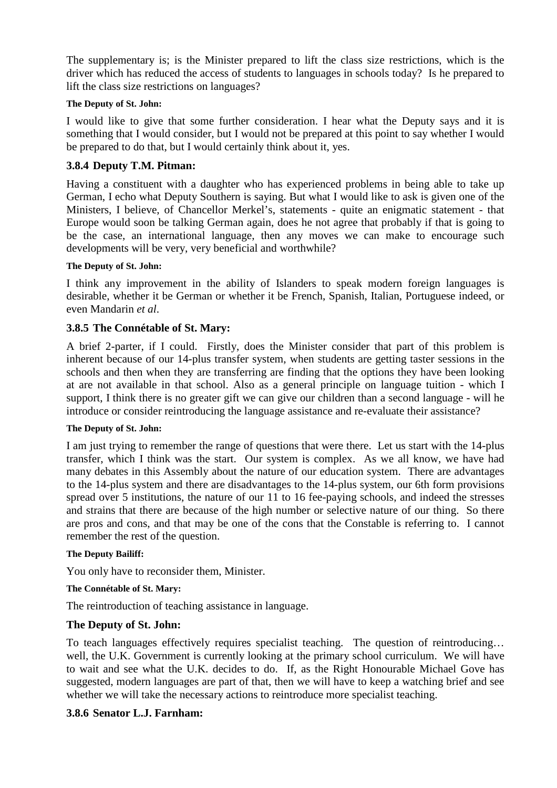The supplementary is; is the Minister prepared to lift the class size restrictions, which is the driver which has reduced the access of students to languages in schools today? Is he prepared to lift the class size restrictions on languages?

#### **The Deputy of St. John:**

I would like to give that some further consideration. I hear what the Deputy says and it is something that I would consider, but I would not be prepared at this point to say whether I would be prepared to do that, but I would certainly think about it, yes.

## **3.8.4 Deputy T.M. Pitman:**

Having a constituent with a daughter who has experienced problems in being able to take up German, I echo what Deputy Southern is saying. But what I would like to ask is given one of the Ministers, I believe, of Chancellor Merkel's, statements - quite an enigmatic statement - that Europe would soon be talking German again, does he not agree that probably if that is going to be the case, an international language, then any moves we can make to encourage such developments will be very, very beneficial and worthwhile?

#### **The Deputy of St. John:**

I think any improvement in the ability of Islanders to speak modern foreign languages is desirable, whether it be German or whether it be French, Spanish, Italian, Portuguese indeed, or even Mandarin *et al*.

### **3.8.5 The Connétable of St. Mary:**

A brief 2-parter, if I could. Firstly, does the Minister consider that part of this problem is inherent because of our 14-plus transfer system, when students are getting taster sessions in the schools and then when they are transferring are finding that the options they have been looking at are not available in that school. Also as a general principle on language tuition - which I support, I think there is no greater gift we can give our children than a second language - will he introduce or consider reintroducing the language assistance and re-evaluate their assistance?

#### **The Deputy of St. John:**

I am just trying to remember the range of questions that were there. Let us start with the 14-plus transfer, which I think was the start. Our system is complex. As we all know, we have had many debates in this Assembly about the nature of our education system. There are advantages to the 14-plus system and there are disadvantages to the 14-plus system, our 6th form provisions spread over 5 institutions, the nature of our 11 to 16 fee-paying schools, and indeed the stresses and strains that there are because of the high number or selective nature of our thing. So there are pros and cons, and that may be one of the cons that the Constable is referring to. I cannot remember the rest of the question.

#### **The Deputy Bailiff:**

You only have to reconsider them, Minister.

#### **The Connétable of St. Mary:**

The reintroduction of teaching assistance in language.

### **The Deputy of St. John:**

To teach languages effectively requires specialist teaching. The question of reintroducing… well, the U.K. Government is currently looking at the primary school curriculum. We will have to wait and see what the U.K. decides to do. If, as the Right Honourable Michael Gove has suggested, modern languages are part of that, then we will have to keep a watching brief and see whether we will take the necessary actions to reintroduce more specialist teaching.

### **3.8.6 Senator L.J. Farnham:**